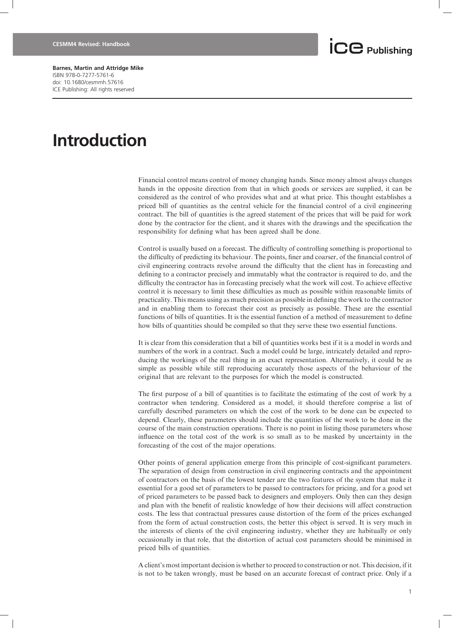## **ICC** Publishing

Barnes, Martin and Attridge Mike ISBN 978-0-7277-5761-6 doi: 10.1680/cesmmh.57616 ICE Publishing: All rights reserved

# Introduction

Financial control means control of money changing hands. Since money almost always changes hands in the opposite direction from that in which goods or services are supplied, it can be considered as the control of who provides what and at what price. This thought establishes a priced bill of quantities as the central vehicle for the financial control of a civil engineering contract. The bill of quantities is the agreed statement of the prices that will be paid for work done by the contractor for the client, and it shares with the drawings and the specification the responsibility for defining what has been agreed shall be done.

Control is usually based on a forecast. The difficulty of controlling something is proportional to the difficulty of predicting its behaviour. The points, finer and coarser, of the financial control of civil engineering contracts revolve around the difficulty that the client has in forecasting and defining to a contractor precisely and immutably what the contractor is required to do, and the difficulty the contractor has in forecasting precisely what the work will cost. To achieve effective control it is necessary to limit these difficulties as much as possible within reasonable limits of practicality. This means using as much precision as possible in defining the work to the contractor and in enabling them to forecast their cost as precisely as possible. These are the essential functions of bills of quantities. It is the essential function of a method of measurement to define how bills of quantities should be compiled so that they serve these two essential functions.

It is clear from this consideration that a bill of quantities works best if it is a model in words and numbers of the work in a contract. Such a model could be large, intricately detailed and reproducing the workings of the real thing in an exact representation. Alternatively, it could be as simple as possible while still reproducing accurately those aspects of the behaviour of the original that are relevant to the purposes for which the model is constructed.

The first purpose of a bill of quantities is to facilitate the estimating of the cost of work by a contractor when tendering. Considered as a model, it should therefore comprise a list of carefully described parameters on which the cost of the work to be done can be expected to depend. Clearly, these parameters should include the quantities of the work to be done in the course of the main construction operations. There is no point in listing those parameters whose influence on the total cost of the work is so small as to be masked by uncertainty in the forecasting of the cost of the major operations.

Other points of general application emerge from this principle of cost-significant parameters. The separation of design from construction in civil engineering contracts and the appointment of contractors on the basis of the lowest tender are the two features of the system that make it essential for a good set of parameters to be passed to contractors for pricing, and for a good set of priced parameters to be passed back to designers and employers. Only then can they design and plan with the benefit of realistic knowledge of how their decisions will affect construction costs. The less that contractual pressures cause distortion of the form of the prices exchanged from the form of actual construction costs, the better this object is served. It is very much in the interests of clients of the civil engineering industry, whether they are habitually or only occasionally in that role, that the distortion of actual cost parameters should be minimised in priced bills of quantities.

A client's most important decision is whether to proceed to construction or not. This decision, if it is not to be taken wrongly, must be based on an accurate forecast of contract price. Only if a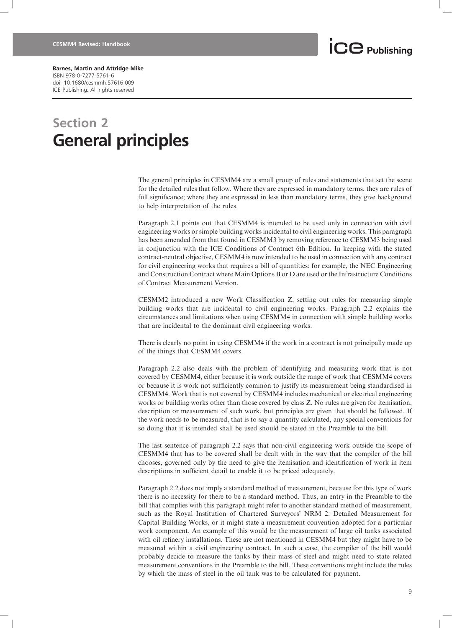### Section 2 General principles

The general principles in CESMM4 are a small group of rules and statements that set the scene for the detailed rules that follow. Where they are expressed in mandatory terms, they are rules of full significance; where they are expressed in less than mandatory terms, they give background to help interpretation of the rules.

Paragraph 2.1 points out that CESMM4 is intended to be used only in connection with civil engineering works or simple building works incidental to civil engineering works. This paragraph has been amended from that found in CESMM3 by removing reference to CESMM3 being used in conjunction with the ICE Conditions of Contract 6th Edition. In keeping with the stated contract-neutral objective, CESMM4 is now intended to be used in connection with any contract for civil engineering works that requires a bill of quantities: for example, the NEC Engineering and Construction Contract where Main Options B or D are used or the Infrastructure Conditions of Contract Measurement Version.

CESMM2 introduced a new Work Classification Z, setting out rules for measuring simple building works that are incidental to civil engineering works. Paragraph 2.2 explains the circumstances and limitations when using CESMM4 in connection with simple building works that are incidental to the dominant civil engineering works.

There is clearly no point in using CESMM4 if the work in a contract is not principally made up of the things that CESMM4 covers.

Paragraph 2.2 also deals with the problem of identifying and measuring work that is not covered by CESMM4, either because it is work outside the range of work that CESMM4 covers or because it is work not sufficiently common to justify its measurement being standardised in CESMM4. Work that is not covered by CESMM4 includes mechanical or electrical engineering works or building works other than those covered by class Z. No rules are given for itemisation, description or measurement of such work, but principles are given that should be followed. If the work needs to be measured, that is to say a quantity calculated, any special conventions for so doing that it is intended shall be used should be stated in the Preamble to the bill.

The last sentence of paragraph 2.2 says that non-civil engineering work outside the scope of CESMM4 that has to be covered shall be dealt with in the way that the compiler of the bill chooses, governed only by the need to give the itemisation and identification of work in item descriptions in sufficient detail to enable it to be priced adequately.

Paragraph 2.2 does not imply a standard method of measurement, because for this type of work there is no necessity for there to be a standard method. Thus, an entry in the Preamble to the bill that complies with this paragraph might refer to another standard method of measurement, such as the Royal Institution of Chartered Surveyors' NRM 2: Detailed Measurement for Capital Building Works, or it might state a measurement convention adopted for a particular work component. An example of this would be the measurement of large oil tanks associated with oil refinery installations. These are not mentioned in CESMM4 but they might have to be measured within a civil engineering contract. In such a case, the compiler of the bill would probably decide to measure the tanks by their mass of steel and might need to state related measurement conventions in the Preamble to the bill. These conventions might include the rules by which the mass of steel in the oil tank was to be calculated for payment.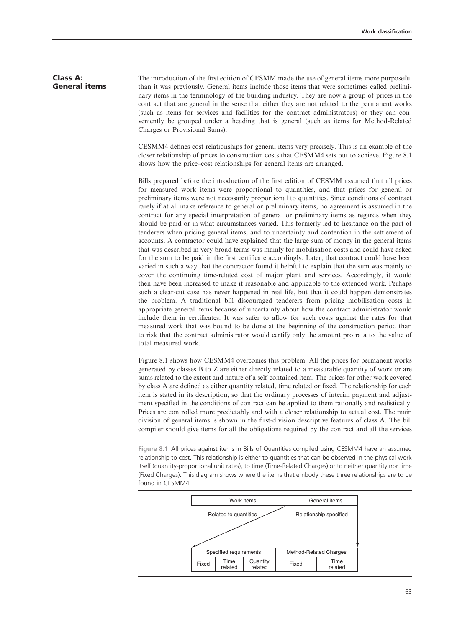### Class A: General items

The introduction of the first edition of CESMM made the use of general items more purposeful than it was previously. General items include those items that were sometimes called preliminary items in the terminology of the building industry. They are now a group of prices in the contract that are general in the sense that either they are not related to the permanent works (such as items for services and facilities for the contract administrators) or they can conveniently be grouped under a heading that is general (such as items for Method-Related Charges or Provisional Sums).

CESMM4 defines cost relationships for general items very precisely. This is an example of the closer relationship of prices to construction costs that CESMM4 sets out to achieve. Figure 8.1 shows how the price–cost relationships for general items are arranged.

Bills prepared before the introduction of the first edition of CESMM assumed that all prices for measured work items were proportional to quantities, and that prices for general or preliminary items were not necessarily proportional to quantities. Since conditions of contract rarely if at all make reference to general or preliminary items, no agreement is assumed in the contract for any special interpretation of general or preliminary items as regards when they should be paid or in what circumstances varied. This formerly led to hesitance on the part of tenderers when pricing general items, and to uncertainty and contention in the settlement of accounts. A contractor could have explained that the large sum of money in the general items that was described in very broad terms was mainly for mobilisation costs and could have asked for the sum to be paid in the first certificate accordingly. Later, that contract could have been varied in such a way that the contractor found it helpful to explain that the sum was mainly to cover the continuing time-related cost of major plant and services. Accordingly, it would then have been increased to make it reasonable and applicable to the extended work. Perhaps such a clear-cut case has never happened in real life, but that it could happen demonstrates the problem. A traditional bill discouraged tenderers from pricing mobilisation costs in appropriate general items because of uncertainty about how the contract administrator would include them in certificates. It was safer to allow for such costs against the rates for that measured work that was bound to be done at the beginning of the construction period than to risk that the contract administrator would certify only the amount pro rata to the value of total measured work.

Figure 8.1 shows how CESMM4 overcomes this problem. All the prices for permanent works generated by classes B to Z are either directly related to a measurable quantity of work or are sums related to the extent and nature of a self-contained item. The prices for other work covered by class A are defined as either quantity related, time related or fixed. The relationship for each item is stated in its description, so that the ordinary processes of interim payment and adjustment specified in the conditions of contract can be applied to them rationally and realistically. Prices are controlled more predictably and with a closer relationship to actual cost. The main division of general items is shown in the first-division descriptive features of class A. The bill compiler should give items for all the obligations required by the contract and all the services

Figure 8.1 All prices against items in Bills of Quantities compiled using CESMM4 have an assumed relationship to cost. This relationship is either to quantities that can be observed in the physical work itself (quantity-proportional unit rates), to time (Time-Related Charges) or to neither quantity nor time (Fixed Charges). This diagram shows where the items that embody these three relationships are to be found in CESMM4

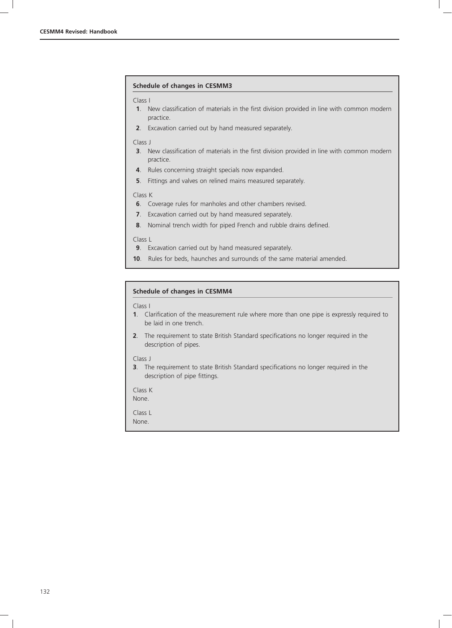#### Schedule of changes in CESMM3

#### Class I

- 1. New classification of materials in the first division provided in line with common modern practice.
- 2. Excavation carried out by hand measured separately.

#### Class J

- **3**. New classification of materials in the first division provided in line with common modern practice.
- 4. Rules concerning straight specials now expanded.
- **5**. Fittings and valves on relined mains measured separately.

#### Class K

- 6. Coverage rules for manholes and other chambers revised.
- **7**. Excavation carried out by hand measured separately.
- 8. Nominal trench width for piped French and rubble drains defined.

#### Class L

- 9. Excavation carried out by hand measured separately.
- 10. Rules for beds, haunches and surrounds of the same material amended.

#### Schedule of changes in CESMM4

#### Class I

- 1. Clarification of the measurement rule where more than one pipe is expressly required to be laid in one trench.
- 2. The requirement to state British Standard specifications no longer required in the description of pipes.

### Class J

3. The requirement to state British Standard specifications no longer required in the description of pipe fittings.

Class K

None.

Class L

None.